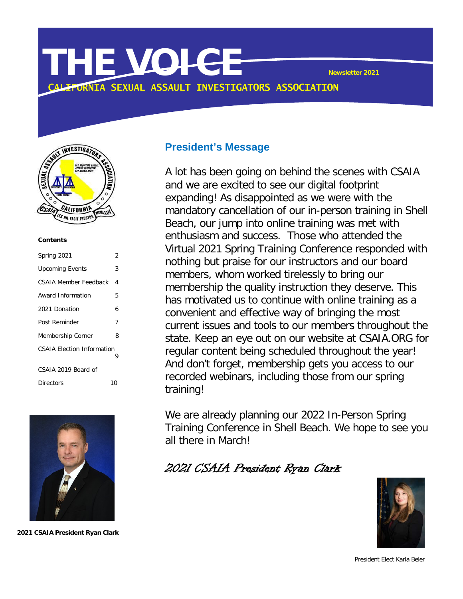# **THE VOICE Newsletter <sup>2021</sup> CORNIA SEXUAL ASSAULT INVESTIGATORS ASSOCIATION**



#### **Contents**

| Spring 2021                            | 2  |
|----------------------------------------|----|
| <b>Upcoming Events</b>                 | 3  |
| CSAIA Member Feedback                  | 4  |
| Award Information                      | 5  |
| 2021 Donation                          | 6  |
| Post Reminder                          | 7  |
| Membership Corner                      | 8  |
| <b>CSAIA Election Information</b><br>9 |    |
| CSAIA 2019 Board of                    |    |
| Directors                              | 10 |



**2021 CSAIA President Ryan Clark**

## **President's Message**

A lot has been going on behind the scenes with CSAIA and we are excited to see our digital footprint expanding! As disappointed as we were with the mandatory cancellation of our in-person training in Shell Beach, our jump into online training was met with enthusiasm and success. Those who attended the Virtual 2021 Spring Training Conference responded with nothing but praise for our instructors and our board members, whom worked tirelessly to bring our membership the quality instruction they deserve. This has motivated us to continue with online training as a convenient and effective way of bringing the most current issues and tools to our members throughout the state. Keep an eye out on our website at CSAIA.ORG for regular content being scheduled throughout the year! And don't forget, membership gets you access to our recorded webinars, including those from our spring training!

We are already planning our 2022 In-Person Spring Training Conference in Shell Beach. We hope to see you all there in March!

2021 CSAIA President Ryan Clark



President Elect Karla Beler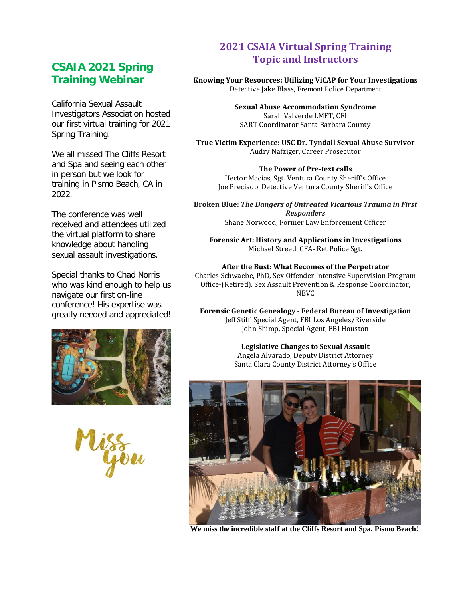## **Training WebinarCSAIA 2021 Spring**

California Sexual Assault Investigators Association hosted our first virtual training for 2021 Spring Training.

We all missed The Cliffs Resort and Spa and seeing each other in person but we look for training in Pismo Beach, CA in 2022.

 received and attendees utilized The conference was well the virtual platform to share knowledge about handling sexual assault investigations.

Special thanks to Chad Norris who was kind enough to help us navigate our first on-line conference! His expertise was greatly needed and appreciated!



you

## **2021 CSAIA Virtual Spring Training Topic and Instructors**

#### **Knowing Your Resources: Utilizing ViCAP for Your Investigations** Detective Jake Blass, Fremont Police Department

**Sexual Abuse Accommodation Syndrome** Sarah Valverde LMFT, CFI SART Coordinator Santa Barbara County

**True Victim Experience: USC Dr. Tyndall Sexual Abuse Survivor** Audry Nafziger, Career Prosecutor

**The Power of Pre-text calls** Hector Macias, Sgt. Ventura County Sheriff's Office Joe Preciado, Detective Ventura County Sheriff's Office

**Broken Blue:** *The Dangers of Untreated Vicarious Trauma in First Responders* Shane Norwood, Former Law Enforcement Officer

**Forensic Art: History and Applications in Investigations** Michael Streed, CFA- Ret Police Sgt.

**After the Bust: What Becomes of the Perpetrator** Charles Schwaebe, PhD, Sex Offender Intensive Supervision Program Office-(Retired). Sex Assault Prevention & Response Coordinator, NBVC

**Forensic Genetic Genealogy - Federal Bureau of Investigation** Jeff Stiff, Special Agent, FBI Los Angeles/Riverside John Shimp, Special Agent, FBI Houston

> **Legislative Changes to Sexual Assault** Angela Alvarado, Deputy District Attorney Santa Clara County District Attorney's Office



**We miss the incredible staff at the Cliffs Resort and Spa, Pismo Beach!**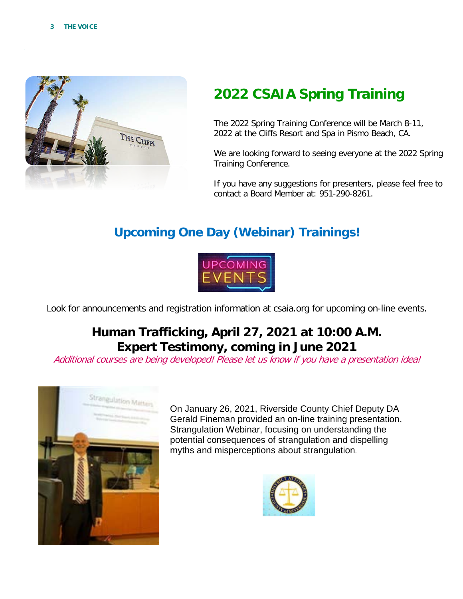

# **2022 CSAIA Spring Training**

The 2022 Spring Training Conference will be March 8-11, 2022 at the Cliffs Resort and Spa in Pismo Beach, CA.

We are looking forward to seeing everyone at the 2022 Spring Training Conference.

If you have any suggestions for presenters, please feel free to contact a Board Member at: 951-290-8261.

# **Upcoming One Day (Webinar) Trainings!**



Look for announcements and registration information at csaia.org for upcoming on-line events.

## **Human Trafficking, April 27, 2021 at 10:00 A.M. Expert Testimony, coming in June 2021**

Additional courses are being developed! Please let us know if you have a presentation idea!



On January 26, 2021, Riverside County Chief Deputy DA Gerald Fineman provided an on-line training presentation, Strangulation Webinar, focusing on understanding the potential consequences of strangulation and dispelling myths and misperceptions about strangulation.

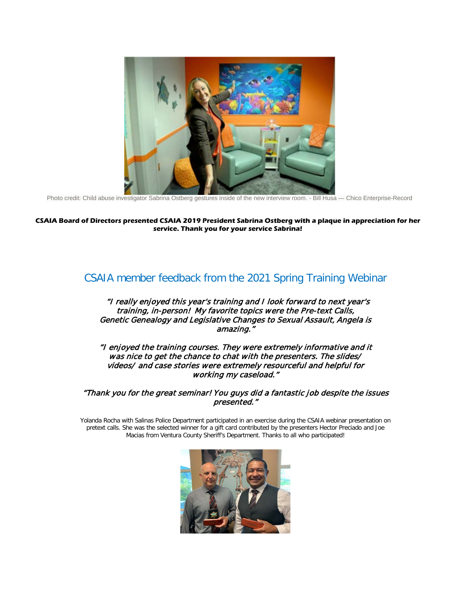

Photo credit: Child abuse investigator Sabrina Ostberg gestures inside of the new interview room. - Bill Husa — Chico Enterprise-Record

#### **CSAIA Board of Directors presented CSAIA 2019 President Sabrina Ostberg with a plaque in appreciation for her service. Thank you for your service Sabrina!**

## CSAIA member feedback from the 2021 Spring Training Webinar

#### "I really enjoyed this year's training and I look forward to next year's training, in-person! My favorite topics were the Pre-text Calls, Genetic Genealogy and Legislative Changes to Sexual Assault, Angela is amazing."

"I enjoyed the training courses. They were extremely informative and it was nice to get the chance to chat with the presenters. The slides/ videos/ and case stories were extremely resourceful and helpful for working my caseload."

#### "Thank you for the great seminar! You guys did a fantastic job despite the issues presented."

Yolanda Rocha with Salinas Police Department participated in an exercise during the CSAIA webinar presentation on pretext calls. She was the selected winner for a gift card contributed by the presenters Hector Preciado and Joe Macias from Ventura County Sheriff's Department. Thanks to all who participated!

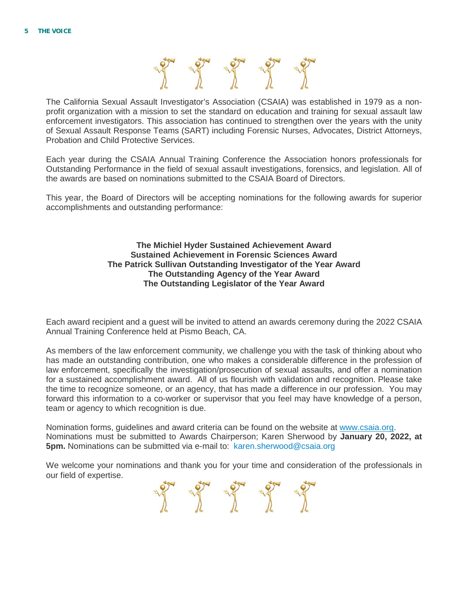

The California Sexual Assault Investigator's Association (CSAIA) was established in 1979 as a nonprofit organization with a mission to set the standard on education and training for sexual assault law enforcement investigators. This association has continued to strengthen over the years with the unity of Sexual Assault Response Teams (SART) including Forensic Nurses, Advocates, District Attorneys, Probation and Child Protective Services.

Each year during the CSAIA Annual Training Conference the Association honors professionals for Outstanding Performance in the field of sexual assault investigations, forensics, and legislation. All of the awards are based on nominations submitted to the CSAIA Board of Directors.

This year, the Board of Directors will be accepting nominations for the following awards for superior accomplishments and outstanding performance:

#### **The Michiel Hyder Sustained Achievement Award Sustained Achievement in Forensic Sciences Award The Patrick Sullivan Outstanding Investigator of the Year Award The Outstanding Agency of the Year Award The Outstanding Legislator of the Year Award**

Each award recipient and a guest will be invited to attend an awards ceremony during the 2022 CSAIA Annual Training Conference held at Pismo Beach, CA.

As members of the law enforcement community, we challenge you with the task of thinking about who has made an outstanding contribution, one who makes a considerable difference in the profession of law enforcement, specifically the investigation/prosecution of sexual assaults, and offer a nomination for a sustained accomplishment award. All of us flourish with validation and recognition. Please take the time to recognize someone, or an agency, that has made a difference in our profession. You may forward this information to a co-worker or supervisor that you feel may have knowledge of a person, team or agency to which recognition is due.

Nomination forms, guidelines and award criteria can be found on the website at [www.csaia.org.](https://outlook.riversideca.gov/owa/redir.aspx?C=LE2v28Egtj9kypKDQAykalHC8_dwpVAPiNkSLpqf12Db4srdj4bXCA..&URL=https%3a%2f%2fna01.safelinks.protection.outlook.com%2f%3furl%3dhttp%253A%252F%252Fwww.csaia.org%252F%26data%3d02%257C01%257Cksherwood%2540ncric.ca.gov%257C79396ce1b10348fa4d1e08d52b94ebb7%257C68b9eb1f22d9468f99f9d6992d1e6709%257C1%257C0%257C636462842034616993%26sdata%3d%252BZkY86cIJQ9cJqV5wPX2CSSDtCFMMmxk7Ui5ufkZdRE%253D%26reserved%3d0) Nominations must be submitted to Awards Chairperson; Karen Sherwood by **January 20, 2022, at 5pm.** Nominations can be submitted via e-mail to: karen.sherwood@csaia.org

We welcome your nominations and thank you for your time and consideration of the professionals in our field of expertise.

age of the day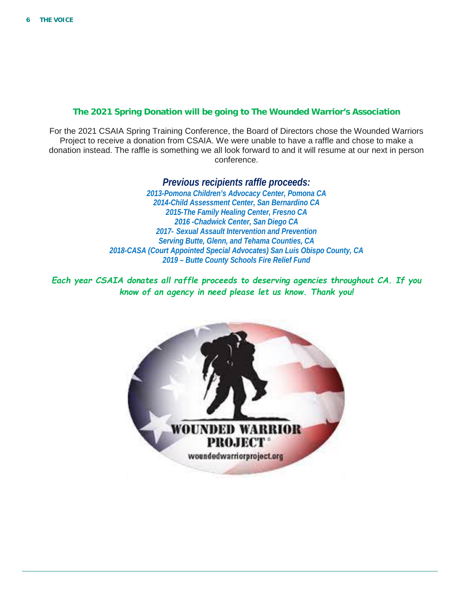#### **The 2021 Spring Donation will be going to The Wounded Warrior's Association**

For the 2021 CSAIA Spring Training Conference, the Board of Directors chose the Wounded Warriors Project to receive a donation from CSAIA. We were unable to have a raffle and chose to make a donation instead. The raffle is something we all look forward to and it will resume at our next in person conference.

> *Previous recipients raffle proceeds: 2013-Pomona Children's Advocacy Center, Pomona CA 2014-Child Assessment Center, San Bernardino CA 2015-The Family Healing Center, Fresno CA 2016 -Chadwick Center, San Diego CA 2017- Sexual Assault Intervention and Prevention Serving Butte, Glenn, and Tehama Counties, CA 2018-CASA (Court Appointed Special Advocates) San Luis Obispo County, CA 2019 – Butte County Schools Fire Relief Fund*

*Each year CSAIA donates all raffle proceeds to deserving agencies throughout CA. If you know of an agency in need please let us know. Thank you!*

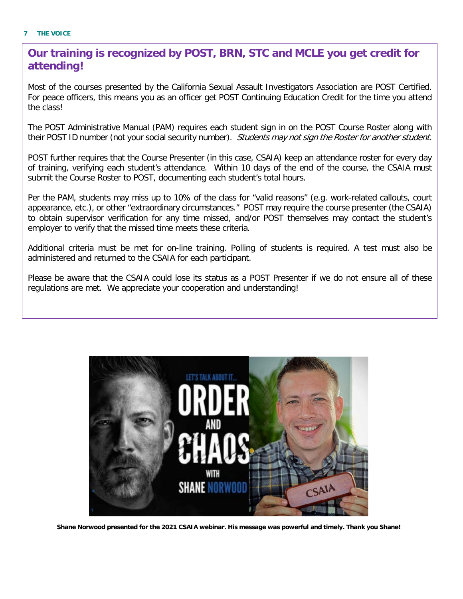## **Our training is recognized by POST, BRN, STC and MCLE you get credit for attending!**

Most of the courses presented by the California Sexual Assault Investigators Association are POST Certified. For peace officers, this means you as an officer get POST Continuing Education Credit for the time you attend the class!

The POST Administrative Manual (PAM) requires each student sign in on the POST Course Roster along with their POST ID number (not your social security number). Students may not sign the Roster for another student.

POST further requires that the Course Presenter (in this case, CSAIA) keep an attendance roster for every day of training, verifying each student's attendance. Within 10 days of the end of the course, the CSAIA must submit the Course Roster to POST, documenting each student's total hours.

 employer to verify that the missed time meets these criteria. Per the PAM, students may miss up to 10% of the class for "valid reasons" (e.g. work-related callouts, court appearance, etc.), or other "extraordinary circumstances." POST may require the course presenter (the CSAIA) to obtain supervisor verification for any time missed, and/or POST themselves may contact the student's

Additional criteria must be met for on-line training. Polling of students is required. A test must also be administered and returned to the CSAIA for each participant.

Please be aware that the CSAIA could lose its status as a POST Presenter if we do not ensure all of these regulations are met. We appreciate your cooperation and understanding!



**Shane Norwood presented for the 2021 CSAIA webinar. His message was powerful and timely. Thank you Shane!**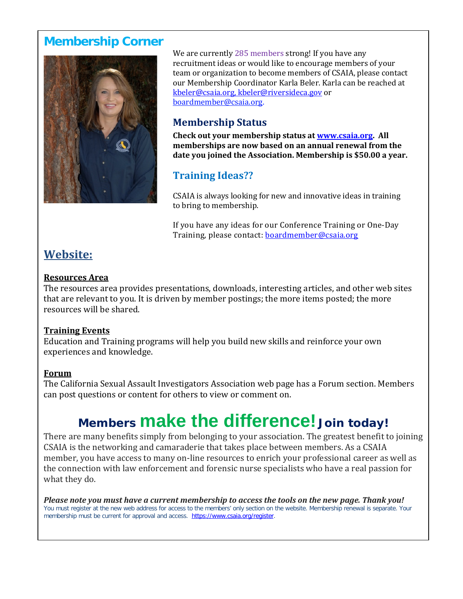## **Membership Corner**



We are currently 285 members strong! If you have any recruitment ideas or would like to encourage members of your team or organization to become members of CSAIA, please contact our Membership Coordinator Karla Beler. Karla can be reached at [kbeler@csaia.org,](mailto:kbeler@csaia.org) kbeler@riversideca.gov or boardmember@csaia.org.

## **Membership Status**

**Check out your membership status at [www.csaia.org.](http://www.csaia.org/) All memberships are now based on an annual renewal from the date you joined the Association. Membership is \$50.00 a year.**

## **Training Ideas??**

CSAIA is always looking for new and innovative ideas in training to bring to membership.

If you have any ideas for our Conference Training or One-Day Training, please contact: [boardmember@csaia.org](mailto:boardmember@csaia.org)

## **Website:**

#### **Resources Area**

The resources area provides presentations, downloads, interesting articles, and other web sites that are relevant to you. It is driven by member postings; the more items posted; the more resources will be shared.

## **Training Events**

Education and Training programs will help you build new skills and reinforce your own experiences and knowledge.

## **Forum**

The California Sexual Assault Investigators Association web page has a Forum section. Members can post questions or content for others to view or comment on.

# **Members make the difference! Join today!**

There are many benefits simply from belonging to your association. The greatest benefit to joining CSAIA is the networking and camaraderie that takes place between members. As a CSAIA member, you have access to many on-line resources to enrich your professional career as well as the connection with law enforcement and forensic nurse specialists who have a real passion for what they do.

*Please note you must have a current membership to access the tools on the new page. Thank you!* You must register at the new web address for access to the members' only section on the website. Membership renewal is separate. Your membership must be current for approval and access. [https://www.csaia.org/register.](https://www.csaia.org/register)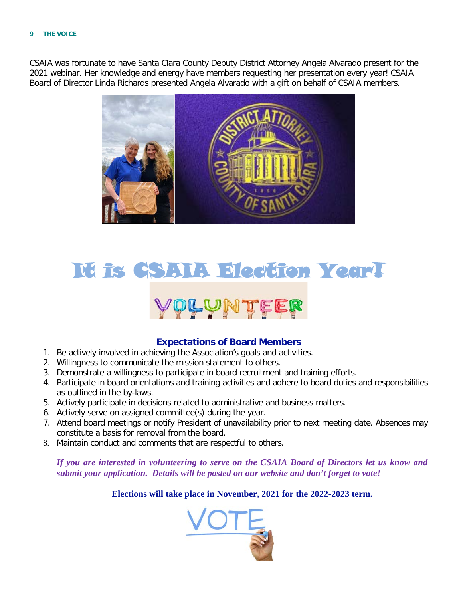#### **9 THE VOICE**

CSAIA was fortunate to have Santa Clara County Deputy District Attorney Angela Alvarado present for the 2021 webinar. Her knowledge and energy have members requesting her presentation every year! CSAIA Board of Director Linda Richards presented Angela Alvarado with a gift on behalf of CSAIA members.



# It is CSAIA Election Year! **OLUNT!**

#### **Expectations of Board Members**

- 1. Be actively involved in achieving the Association's goals and activities.
- 2. Willingness to communicate the mission statement to others.
- 3. Demonstrate a willingness to participate in board recruitment and training efforts.
- 4. Participate in board orientations and training activities and adhere to board duties and responsibilities as outlined in the by-laws.
- 5. Actively participate in decisions related to administrative and business matters.
- 6. Actively serve on assigned committee(s) during the year.
- 7. Attend board meetings or notify President of unavailability prior to next meeting date. Absences may constitute a basis for removal from the board.
- 8. Maintain conduct and comments that are respectful to others.

*If you are interested in volunteering to serve on the CSAIA Board of Directors let us know and submit your application. Details will be posted on our website and don't forget to vote!* 

#### **Elections will take place in November, 2021 for the 2022-2023 term.**